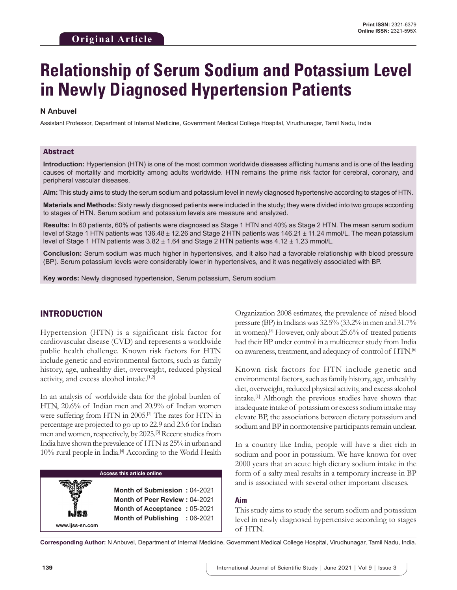# **Relationship of Serum Sodium and Potassium Level in Newly Diagnosed Hypertension Patients**

## **N Anbuvel**

Assistant Professor, Department of Internal Medicine, Government Medical College Hospital, Virudhunagar, Tamil Nadu, India

## Abstract

**Introduction:** Hypertension (HTN) is one of the most common worldwide diseases afflicting humans and is one of the leading causes of mortality and morbidity among adults worldwide. HTN remains the prime risk factor for cerebral, coronary, and peripheral vascular diseases.

**Aim:** This study aims to study the serum sodium and potassium level in newly diagnosed hypertensive according to stages of HTN.

**Materials and Methods:** Sixty newly diagnosed patients were included in the study; they were divided into two groups according to stages of HTN. Serum sodium and potassium levels are measure and analyzed.

**Results:** In 60 patients, 60% of patients were diagnosed as Stage 1 HTN and 40% as Stage 2 HTN. The mean serum sodium level of Stage 1 HTN patients was 136.48 ± 12.26 and Stage 2 HTN patients was 146.21 ± 11.24 mmol/L. The mean potassium level of Stage 1 HTN patients was 3.82 ± 1.64 and Stage 2 HTN patients was 4.12 ± 1.23 mmol/L.

**Conclusion:** Serum sodium was much higher in hypertensives, and it also had a favorable relationship with blood pressure (BP). Serum potassium levels were considerably lower in hypertensives, and it was negatively associated with BP.

**Key words:** Newly diagnosed hypertension, Serum potassium, Serum sodium

# INTRODUCTION

Hypertension (HTN) is a significant risk factor for cardiovascular disease (CVD) and represents a worldwide public health challenge. Known risk factors for HTN include genetic and environmental factors, such as family history, age, unhealthy diet, overweight, reduced physical activity, and excess alcohol intake.[1,2]

In an analysis of worldwide data for the global burden of HTN, 20.6% of Indian men and 20.9% of Indian women were suffering from HTN in 2005.<sup>[3]</sup> The rates for HTN in percentage are projected to go up to 22.9 and 23.6 for Indian men and women, respectively, by 2025.[3] Recent studies from India have shown the prevalence of HTN as 25% in urban and 10% rural people in India.<sup>[4]</sup> According to the World Health

#### **Access this article online**

**Month of Submission :** 04-2021 **Month of Peer Review :** 04-2021 **Month of Acceptance :** 05-2021 **Month of Publishing :** 06-2021 Organization 2008 estimates, the prevalence of raised blood pressure (BP) in Indians was 32.5% (33.2% in men and 31.7% in women).[5] However, only about 25.6% of treated patients had their BP under control in a multicenter study from India on awareness, treatment, and adequacy of control of HTN.[6]

Known risk factors for HTN include genetic and environmental factors, such as family history, age, unhealthy diet, overweight, reduced physical activity, and excess alcohol intake.[1] Although the previous studies have shown that inadequate intake of potassium or excess sodium intake may elevate BP, the associations between dietary potassium and sodium and BP in normotensive participants remain unclear.

In a country like India, people will have a diet rich in sodium and poor in potassium. We have known for over 2000 years that an acute high dietary sodium intake in the form of a salty meal results in a temporary increase in BP and is associated with several other important diseases.

#### **Aim**

This study aims to study the serum sodium and potassium level in newly diagnosed hypertensive according to stages of HTN.

**Corresponding Author:** N Anbuvel, Department of Internal Medicine, Government Medical College Hospital, Virudhunagar, Tamil Nadu, India.

**www.ijss-sn.com**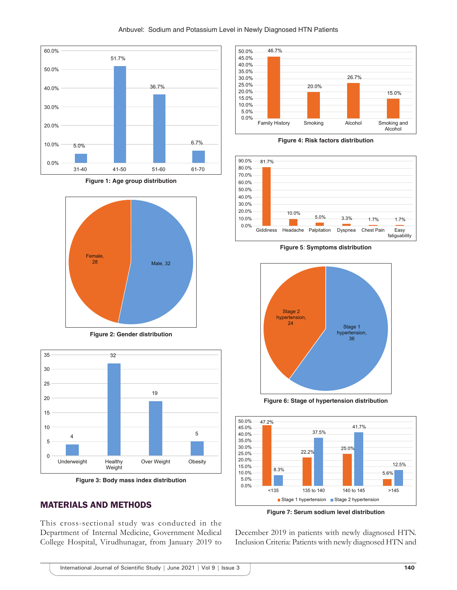

**Figure 1: Age group distribution**



**Figure 2: Gender distribution**





# MATERIALS AND METHODS

This cross-sectional study was conducted in the Department of Internal Medicine, Government Medical College Hospital, Virudhunagar, from January 2019 to



**Figure 4: Risk factors distribution**



**Figure 5***:* **Symptoms distribution**



**Figure 6: Stage of hypertension distribution**



**Figure 7: Serum sodium level distribution**

December 2019 in patients with newly diagnosed HTN. Inclusion Criteria: Patients with newly diagnosed HTN and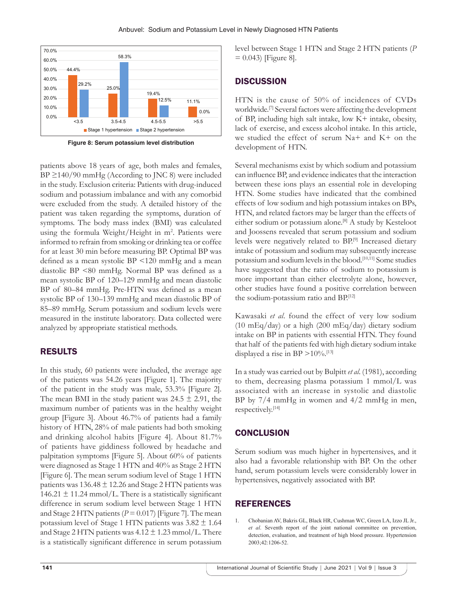

**Figure 8: Serum potassium level distribution**

patients above 18 years of age, both males and females,  $BP \geq 140/90$  mmHg (According to JNC 8) were included in the study. Exclusion criteria: Patients with drug-induced sodium and potassium imbalance and with any comorbid were excluded from the study. A detailed history of the patient was taken regarding the symptoms, duration of symptoms. The body mass index (BMI) was calculated using the formula Weight/Height in m<sup>2</sup>. Patients were informed to refrain from smoking or drinking tea or coffee for at least 30 min before measuring BP. Optimal BP was defined as a mean systolic BP <120 mmHg and a mean diastolic BP <80 mmHg. Normal BP was defined as a mean systolic BP of 120–129 mmHg and mean diastolic BP of 80–84 mmHg. Pre-HTN was defined as a mean systolic BP of 130–139 mmHg and mean diastolic BP of 85–89 mmHg. Serum potassium and sodium levels were measured in the institute laboratory. Data collected were analyzed by appropriate statistical methods.

# RESULTS

In this study, 60 patients were included, the average age of the patients was 54.26 years [Figure 1]. The majority of the patient in the study was male, 53.3% [Figure 2]. The mean BMI in the study patient was  $24.5 \pm 2.91$ , the maximum number of patients was in the healthy weight group [Figure 3]. About 46.7% of patients had a family history of HTN, 28% of male patients had both smoking and drinking alcohol habits [Figure 4]. About 81.7% of patients have giddiness followed by headache and palpitation symptoms [Figure 5]. About 60% of patients were diagnosed as Stage 1 HTN and 40% as Stage 2 HTN [Figure 6]. The mean serum sodium level of Stage 1 HTN patients was  $136.48 \pm 12.26$  and Stage 2 HTN patients was 146.21  $\pm$  11.24 mmol/L. There is a statistically significant difference in serum sodium level between Stage 1 HTN and Stage 2 HTN patients  $(P = 0.017)$  [Figure 7]. The mean potassium level of Stage 1 HTN patients was  $3.82 \pm 1.64$ and Stage 2 HTN patients was  $4.12 \pm 1.23$  mmol/L. There is a statistically significant difference in serum potassium level between Stage 1 HTN and Stage 2 HTN patients (*P*  $= 0.043$  [Figure 8].

# **DISCUSSION**

HTN is the cause of 50% of incidences of CVDs worldwide.[7] Several factors were affecting the development of BP, including high salt intake, low K+ intake, obesity, lack of exercise, and excess alcohol intake. In this article, we studied the effect of serum Na+ and K+ on the development of HTN.

Several mechanisms exist by which sodium and potassium can influence BP, and evidence indicates that the interaction between these ions plays an essential role in developing HTN. Some studies have indicated that the combined effects of low sodium and high potassium intakes on BPs, HTN, and related factors may be larger than the effects of either sodium or potassium alone.[8] A study by Kesteloot and Joossens revealed that serum potassium and sodium levels were negatively related to BP.[9] Increased dietary intake of potassium and sodium may subsequently increase potassium and sodium levels in the blood.[10,11] Some studies have suggested that the ratio of sodium to potassium is more important than either electrolyte alone, however, other studies have found a positive correlation between the sodium-potassium ratio and BP.[12]

Kawasaki *et al*. found the effect of very low sodium (10 mEq/day) or a high (200 mEq/day) dietary sodium intake on BP in patients with essential HTN. They found that half of the patients fed with high dietary sodium intake displayed a rise in BP  $>10\%$ .<sup>[13]</sup>

In a study was carried out by Bulpitt *et al*. (1981), according to them, decreasing plasma potassium 1 mmol/L was associated with an increase in systolic and diastolic BP by 7/4 mmHg in women and 4/2 mmHg in men, respectively.[14]

# **CONCLUSION**

Serum sodium was much higher in hypertensives, and it also had a favorable relationship with BP. On the other hand, serum potassium levels were considerably lower in hypertensives, negatively associated with BP.

# **REFERENCES**

1. Chobanian AV, Bakris GL, Black HR, Cushman WC, Green LA, Izzo JL Jr., *et al*. Seventh report of the joint national committee on prevention, detection, evaluation, and treatment of high blood pressure. Hypertension 2003;42:1206-52.